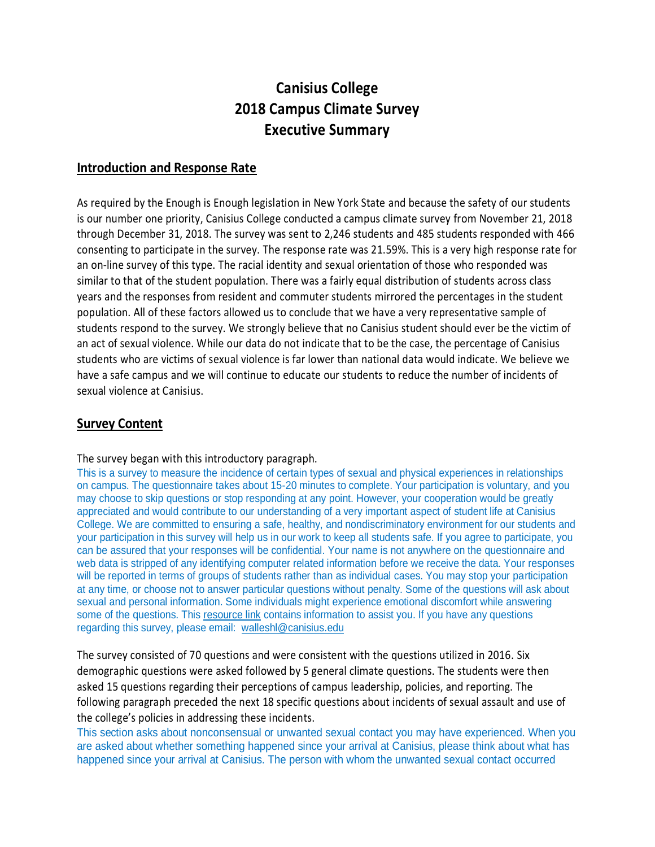# **Canisius College 2018 Campus Climate Survey Executive Summary**

## **Introduction and Response Rate**

As required by the Enough is Enough legislation in New York State and because the safety of our students is our number one priority, Canisius College conducted a campus climate survey from November 21, 2018 through December 31, 2018. The survey was sent to 2,246 students and 485 students responded with 466 consenting to participate in the survey. The response rate was 21.59%. This is a very high response rate for an on-line survey of this type. The racial identity and sexual orientation of those who responded was similar to that of the student population. There was a fairly equal distribution of students across class years and the responses from resident and commuter students mirrored the percentages in the student population. All of these factors allowed us to conclude that we have a very representative sample of students respond to the survey. We strongly believe that no Canisius student should ever be the victim of an act of sexual violence. While our data do not indicate that to be the case, the percentage of Canisius students who are victims of sexual violence is far lower than national data would indicate. We believe we have a safe campus and we will continue to educate our students to reduce the number of incidents of sexual violence at Canisius.

# **Survey Content**

The survey began with this introductory paragraph.

This is a survey to measure the incidence of certain types of sexual and physical experiences in relationships on campus. The questionnaire takes about 15-20 minutes to complete. Your participation is voluntary, and you may choose to skip questions or stop responding at any point. However, your cooperation would be greatly appreciated and would contribute to our understanding of a very important aspect of student life at Canisius College. We are committed to ensuring a safe, healthy, and nondiscriminatory environment for our students and your participation in this survey will help us in our work to keep all students safe. If you agree to participate, you can be assured that your responses will be confidential. Your name is not anywhere on the questionnaire and web data is stripped of any identifying computer related information before we receive the data. Your responses will be reported in terms of groups of students rather than as individual cases. You may stop your participation at any time, or choose not to answer particular questions without penalty. Some of the questions will ask about sexual and personal information. Some individuals might experience emotional discomfort while answering some of the questions. This [resource link](https://www.canisius.edu/student-experience/student-support-services/counseling-center/sexual-violence-and-assault/sexual) contains information to assist you. If you have any questions regarding this survey, please email: [walleshl@canisius.edu](mailto:walleshl@canisius.edu)

The survey consisted of 70 questions and were consistent with the questions utilized in 2016. Six demographic questions were asked followed by 5 general climate questions. The students were then asked 15 questions regarding their perceptions of campus leadership, policies, and reporting. The following paragraph preceded the next 18 specific questions about incidents of sexual assault and use of the college's policies in addressing these incidents.

This section asks about nonconsensual or unwanted sexual contact you may have experienced. When you are asked about whether something happened since your arrival at Canisius, please think about what has happened since your arrival at Canisius. The person with whom the unwanted sexual contact occurred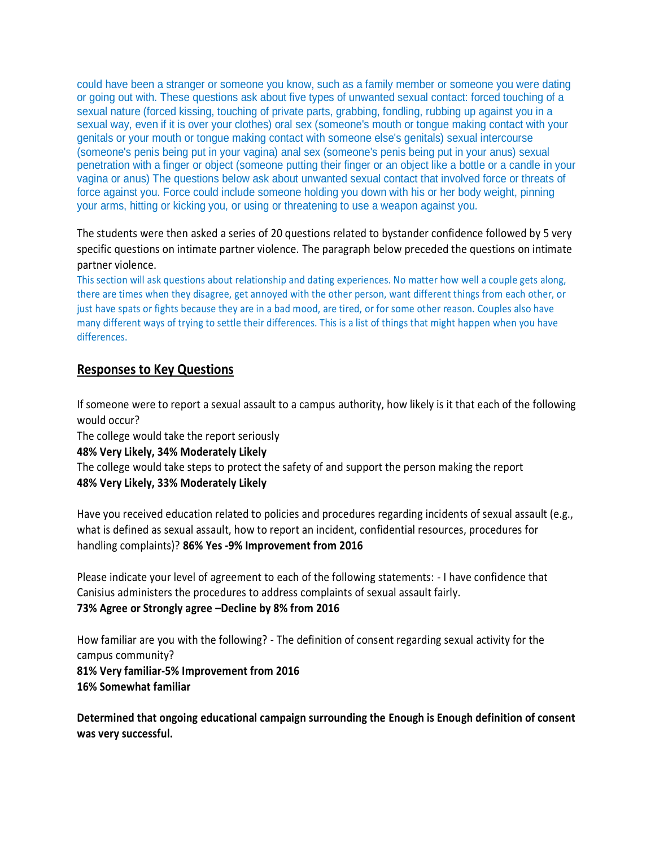could have been a stranger or someone you know, such as a family member or someone you were dating or going out with. These questions ask about five types of unwanted sexual contact: forced touching of a sexual nature (forced kissing, touching of private parts, grabbing, fondling, rubbing up against you in a sexual way, even if it is over your clothes) oral sex (someone's mouth or tongue making contact with your genitals or your mouth or tongue making contact with someone else's genitals) sexual intercourse (someone's penis being put in your vagina) anal sex (someone's penis being put in your anus) sexual penetration with a finger or object (someone putting their finger or an object like a bottle or a candle in your vagina or anus) The questions below ask about unwanted sexual contact that involved force or threats of force against you. Force could include someone holding you down with his or her body weight, pinning your arms, hitting or kicking you, or using or threatening to use a weapon against you.

The students were then asked a series of 20 questions related to bystander confidence followed by 5 very specific questions on intimate partner violence. The paragraph below preceded the questions on intimate partner violence.

This section will ask questions about relationship and dating experiences. No matter how well a couple gets along, there are times when they disagree, get annoyed with the other person, want different things from each other, or just have spats or fights because they are in a bad mood, are tired, or for some other reason. Couples also have many different ways of trying to settle their differences. This is a list of things that might happen when you have differences.

# **Responses to Key Questions**

If someone were to report a sexual assault to a campus authority, how likely is it that each of the following would occur?

The college would take the report seriously

#### **48% Very Likely, 34% Moderately Likely**

The college would take steps to protect the safety of and support the person making the report **48% Very Likely, 33% Moderately Likely**

Have you received education related to policies and procedures regarding incidents of sexual assault (e.g., what is defined as sexual assault, how to report an incident, confidential resources, procedures for handling complaints)? **86% Yes -9% Improvement from 2016**

Please indicate your level of agreement to each of the following statements: - I have confidence that Canisius administers the procedures to address complaints of sexual assault fairly.

# **73% Agree or Strongly agree –Decline by 8% from 2016**

How familiar are you with the following? - The definition of consent regarding sexual activity for the campus community?

**81% Very familiar-5% Improvement from 2016 16% Somewhat familiar**

**Determined that ongoing educational campaign surrounding the Enough is Enough definition of consent was very successful.**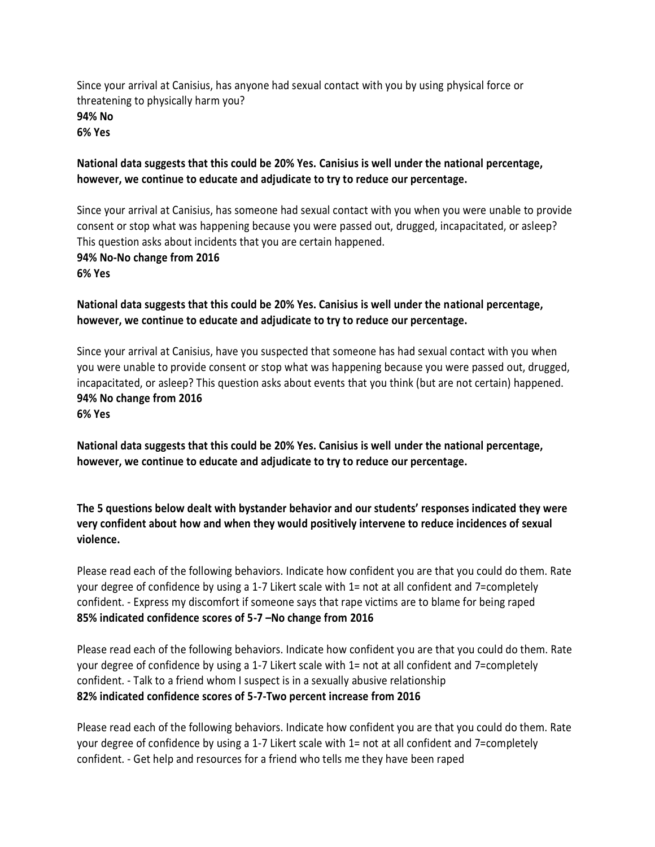Since your arrival at Canisius, has anyone had sexual contact with you by using physical force or threatening to physically harm you? **94% No 6% Yes**

#### **National data suggests that this could be 20% Yes. Canisius is well under the national percentage, however, we continue to educate and adjudicate to try to reduce our percentage.**

Since your arrival at Canisius, has someone had sexual contact with you when you were unable to provide consent or stop what was happening because you were passed out, drugged, incapacitated, or asleep? This question asks about incidents that you are certain happened. **94% No-No change from 2016 6% Yes**

## **National data suggests that this could be 20% Yes. Canisius is well under the national percentage, however, we continue to educate and adjudicate to try to reduce our percentage.**

Since your arrival at Canisius, have you suspected that someone has had sexual contact with you when you were unable to provide consent or stop what was happening because you were passed out, drugged, incapacitated, or asleep? This question asks about events that you think (but are not certain) happened. **94% No change from 2016 6% Yes**

**National data suggests that this could be 20% Yes. Canisius is well under the national percentage, however, we continue to educate and adjudicate to try to reduce our percentage.**

**The 5 questions below dealt with bystander behavior and our students' responses indicated they were very confident about how and when they would positively intervene to reduce incidences of sexual violence.**

Please read each of the following behaviors. Indicate how confident you are that you could do them. Rate your degree of confidence by using a 1-7 Likert scale with 1= not at all confident and 7=completely confident. - Express my discomfort if someone says that rape victims are to blame for being raped **85% indicated confidence scores of 5-7 –No change from 2016**

Please read each of the following behaviors. Indicate how confident you are that you could do them. Rate your degree of confidence by using a 1-7 Likert scale with 1= not at all confident and 7=completely confident. - Talk to a friend whom I suspect is in a sexually abusive relationship **82% indicated confidence scores of 5-7-Two percent increase from 2016**

Please read each of the following behaviors. Indicate how confident you are that you could do them. Rate your degree of confidence by using a 1-7 Likert scale with 1= not at all confident and 7=completely confident. - Get help and resources for a friend who tells me they have been raped